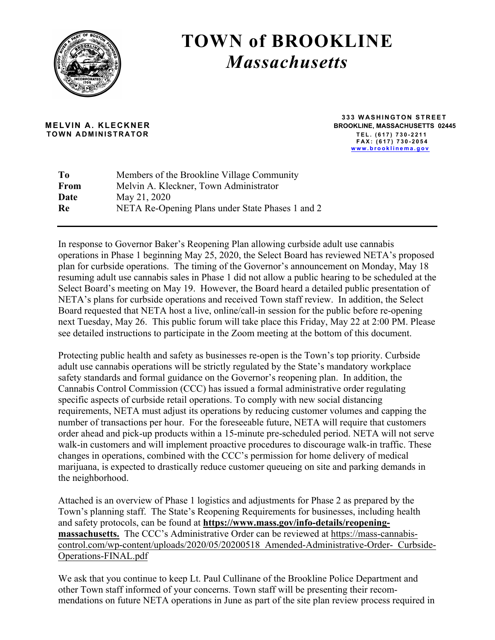

## **TOWN of BROOKLINE** *Massachusetts*

 **TOWN ADMINISTRATOR TEL. (617) 730 - 2 2 1 1**

 **333 WASHINGTON STREET MELVIN A. KLECKNER BROOKLINE, MASSACHUSETTS 02445 FAX: (617) 730 - 2054 www.brooklinema.gov**

| Members of the Brookline Village Community       |
|--------------------------------------------------|
| Melvin A. Kleckner, Town Administrator           |
| May 21, 2020                                     |
| NETA Re-Opening Plans under State Phases 1 and 2 |
|                                                  |

In response to Governor Baker's Reopening Plan allowing curbside adult use cannabis operations in Phase 1 beginning May 25, 2020, the Select Board has reviewed NETA's proposed plan for curbside operations. The timing of the Governor's announcement on Monday, May 18 resuming adult use cannabis sales in Phase 1 did not allow a public hearing to be scheduled at the Select Board's meeting on May 19. However, the Board heard a detailed public presentation of NETA's plans for curbside operations and received Town staff review. In addition, the Select Board requested that NETA host a live, online/call-in session for the public before re-opening next Tuesday, May 26. This public forum will take place this Friday, May 22 at 2:00 PM. Please see detailed instructions to participate in the Zoom meeting at the bottom of this document.

Protecting public health and safety as businesses re-open is the Town's top priority. Curbside adult use cannabis operations will be strictly regulated by the State's mandatory workplace safety standards and formal guidance on the Governor's reopening plan. In addition, the Cannabis Control Commission (CCC) has issued a formal administrative order regulating specific aspects of curbside retail operations. To comply with new social distancing requirements, NETA must adjust its operations by reducing customer volumes and capping the number of transactions per hour. For the foreseeable future, NETA will require that customers order ahead and pick-up products within a 15-minute pre-scheduled period. NETA will not serve walk-in customers and will implement proactive procedures to discourage walk-in traffic. These changes in operations, combined with the CCC's permission for home delivery of medical marijuana, is expected to drastically reduce customer queueing on site and parking demands in the neighborhood.

Attached is an overview of Phase 1 logistics and adjustments for Phase 2 as prepared by the Town's planning staff. The State's Reopening Requirements for businesses, including health and safety protocols, can be found at **https://www.mass.gov/info-details/reopeningmassachusetts.** The CCC's Administrative Order can be reviewed at https://mass-cannabiscontrol.com/wp-content/uploads/2020/05/20200518\_Amended-Administrative-Order-\_Curbside-Operations-FINAL.pdf

We ask that you continue to keep Lt. Paul Cullinane of the Brookline Police Department and other Town staff informed of your concerns. Town staff will be presenting their recommendations on future NETA operations in June as part of the site plan review process required in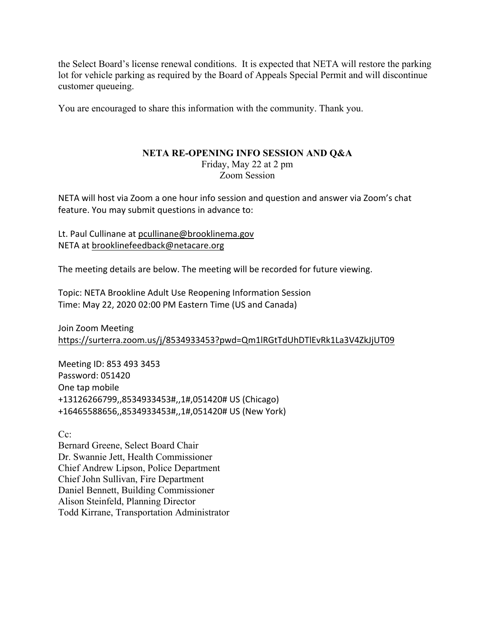the Select Board's license renewal conditions. It is expected that NETA will restore the parking lot for vehicle parking as required by the Board of Appeals Special Permit and will discontinue customer queueing.

You are encouraged to share this information with the community. Thank you.

## **NETA RE-OPENING INFO SESSION AND Q&A**

Friday, May 22 at 2 pm Zoom Session

NETA will host via Zoom a one hour info session and question and answer via Zoom's chat feature. You may submit questions in advance to:

Lt. Paul Cullinane at pcullinane@brooklinema.gov NETA at brooklinefeedback@netacare.org

The meeting details are below. The meeting will be recorded for future viewing.

Topic: NETA Brookline Adult Use Reopening Information Session Time: May 22, 2020 02:00 PM Eastern Time (US and Canada)

Join Zoom Meeting https://surterra.zoom.us/j/8534933453?pwd=Qm1lRGtTdUhDTlEvRk1La3V4ZkJjUT09

Meeting ID: 853 493 3453 Password: 051420 One tap mobile +13126266799,,8534933453#,,1#,051420# US (Chicago) +16465588656,,8534933453#,,1#,051420# US (New York)

 $Cc^{\dagger}$ 

Bernard Greene, Select Board Chair Dr. Swannie Jett, Health Commissioner Chief Andrew Lipson, Police Department Chief John Sullivan, Fire Department Daniel Bennett, Building Commissioner Alison Steinfeld, Planning Director Todd Kirrane, Transportation Administrator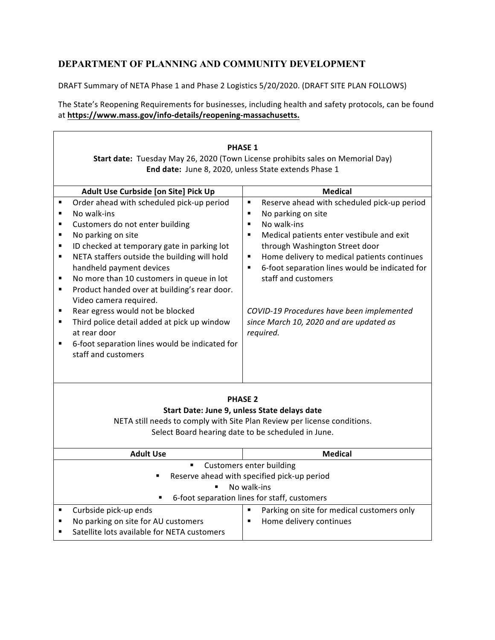## **DEPARTMENT OF PLANNING AND COMMUNITY DEVELOPMENT**

DRAFT Summary of NETA Phase 1 and Phase 2 Logistics 5/20/2020. (DRAFT SITE PLAN FOLLOWS)

The State's Reopening Requirements for businesses, including health and safety protocols, can be found at https://www.mass.gov/info-details/reopening-massachusetts.

|                                                                  | <b>PHASE 1</b><br>Start date: Tuesday May 26, 2020 (Town License prohibits sales on Memorial Day)<br>End date: June 8, 2020, unless State extends Phase 1                                                                                                                                                                                                                                                                                                                                                                                       |                                                                                                                                                                                                                                                                                                                                                                                                                                                                                                          |  |  |
|------------------------------------------------------------------|-------------------------------------------------------------------------------------------------------------------------------------------------------------------------------------------------------------------------------------------------------------------------------------------------------------------------------------------------------------------------------------------------------------------------------------------------------------------------------------------------------------------------------------------------|----------------------------------------------------------------------------------------------------------------------------------------------------------------------------------------------------------------------------------------------------------------------------------------------------------------------------------------------------------------------------------------------------------------------------------------------------------------------------------------------------------|--|--|
|                                                                  | Adult Use Curbside [on Site] Pick Up                                                                                                                                                                                                                                                                                                                                                                                                                                                                                                            | <b>Medical</b>                                                                                                                                                                                                                                                                                                                                                                                                                                                                                           |  |  |
| ٠<br>٠<br>٠<br>٠<br>٠<br>$\blacksquare$<br>٠<br>٠<br>٠<br>٠<br>٠ | Order ahead with scheduled pick-up period<br>No walk-ins<br>Customers do not enter building<br>No parking on site<br>ID checked at temporary gate in parking lot<br>NETA staffers outside the building will hold<br>handheld payment devices<br>No more than 10 customers in queue in lot<br>Product handed over at building's rear door.<br>Video camera required.<br>Rear egress would not be blocked<br>Third police detail added at pick up window<br>at rear door<br>6-foot separation lines would be indicated for<br>staff and customers | Reserve ahead with scheduled pick-up period<br>$\blacksquare$<br>No parking on site<br>$\blacksquare$<br>No walk-ins<br>$\blacksquare$<br>Medical patients enter vestibule and exit<br>$\blacksquare$<br>through Washington Street door<br>Home delivery to medical patients continues<br>$\blacksquare$<br>6-foot separation lines would be indicated for<br>$\blacksquare$<br>staff and customers<br>COVID-19 Procedures have been implemented<br>since March 10, 2020 and are updated as<br>required. |  |  |
|                                                                  | <b>PHASE 2</b>                                                                                                                                                                                                                                                                                                                                                                                                                                                                                                                                  |                                                                                                                                                                                                                                                                                                                                                                                                                                                                                                          |  |  |
|                                                                  |                                                                                                                                                                                                                                                                                                                                                                                                                                                                                                                                                 | Start Date: June 9, unless State delays date                                                                                                                                                                                                                                                                                                                                                                                                                                                             |  |  |
|                                                                  |                                                                                                                                                                                                                                                                                                                                                                                                                                                                                                                                                 | NETA still needs to comply with Site Plan Review per license conditions.                                                                                                                                                                                                                                                                                                                                                                                                                                 |  |  |
|                                                                  |                                                                                                                                                                                                                                                                                                                                                                                                                                                                                                                                                 | Select Board hearing date to be scheduled in June.                                                                                                                                                                                                                                                                                                                                                                                                                                                       |  |  |
|                                                                  | <b>Adult Use</b>                                                                                                                                                                                                                                                                                                                                                                                                                                                                                                                                | <b>Medical</b>                                                                                                                                                                                                                                                                                                                                                                                                                                                                                           |  |  |
|                                                                  | $\blacksquare$                                                                                                                                                                                                                                                                                                                                                                                                                                                                                                                                  | <b>Customers enter building</b>                                                                                                                                                                                                                                                                                                                                                                                                                                                                          |  |  |
|                                                                  | п                                                                                                                                                                                                                                                                                                                                                                                                                                                                                                                                               | Reserve ahead with specified pick-up period                                                                                                                                                                                                                                                                                                                                                                                                                                                              |  |  |
|                                                                  | ٠                                                                                                                                                                                                                                                                                                                                                                                                                                                                                                                                               | No walk-ins<br>6-foot separation lines for staff, customers                                                                                                                                                                                                                                                                                                                                                                                                                                              |  |  |
| ٠                                                                | Curbside pick-up ends                                                                                                                                                                                                                                                                                                                                                                                                                                                                                                                           | Parking on site for medical customers only<br>$\blacksquare$                                                                                                                                                                                                                                                                                                                                                                                                                                             |  |  |
| ٠<br>٠                                                           | No parking on site for AU customers<br>Satellite lots available for NETA customers                                                                                                                                                                                                                                                                                                                                                                                                                                                              | Home delivery continues<br>$\blacksquare$                                                                                                                                                                                                                                                                                                                                                                                                                                                                |  |  |